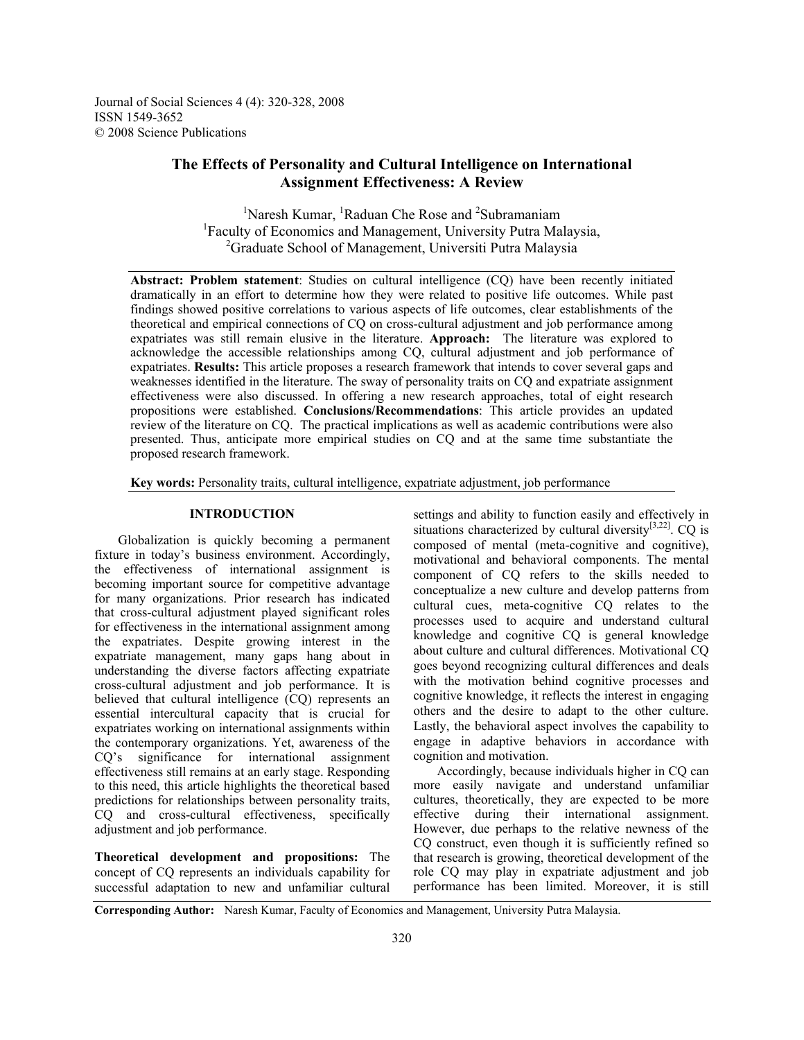Journal of Social Sciences 4 (4): 320-328, 2008 ISSN 1549-3652 © 2008 Science Publications

# **The Effects of Personality and Cultural Intelligence on International Assignment Effectiveness: A Review**

<sup>1</sup>Naresh Kumar, <sup>1</sup>Raduan Che Rose and <sup>2</sup>Subramaniam <sup>1</sup>Faculty of Economics and Management, University Putra Malaysia, <sup>2</sup>Graduate School of Management, Universiti Putra Malaysia

**Abstract: Problem statement**: Studies on cultural intelligence (CQ) have been recently initiated dramatically in an effort to determine how they were related to positive life outcomes. While past findings showed positive correlations to various aspects of life outcomes, clear establishments of the theoretical and empirical connections of CQ on cross-cultural adjustment and job performance among expatriates was still remain elusive in the literature. **Approach:** The literature was explored to acknowledge the accessible relationships among CQ, cultural adjustment and job performance of expatriates. **Results:** This article proposes a research framework that intends to cover several gaps and weaknesses identified in the literature. The sway of personality traits on CQ and expatriate assignment effectiveness were also discussed. In offering a new research approaches, total of eight research propositions were established. **Conclusions/Recommendations**: This article provides an updated review of the literature on CQ. The practical implications as well as academic contributions were also presented. Thus, anticipate more empirical studies on CQ and at the same time substantiate the proposed research framework.

**Key words:** Personality traits, cultural intelligence, expatriate adjustment, job performance

## **INTRODUCTION**

 Globalization is quickly becoming a permanent fixture in today's business environment. Accordingly, the effectiveness of international assignment is becoming important source for competitive advantage for many organizations. Prior research has indicated that cross-cultural adjustment played significant roles for effectiveness in the international assignment among the expatriates. Despite growing interest in the expatriate management, many gaps hang about in understanding the diverse factors affecting expatriate cross-cultural adjustment and job performance. It is believed that cultural intelligence (CQ) represents an essential intercultural capacity that is crucial for expatriates working on international assignments within the contemporary organizations. Yet, awareness of the CQ's significance for international assignment effectiveness still remains at an early stage. Responding to this need, this article highlights the theoretical based predictions for relationships between personality traits, CQ and cross-cultural effectiveness, specifically adjustment and job performance.

**Theoretical development and propositions:** The concept of CQ represents an individuals capability for successful adaptation to new and unfamiliar cultural

settings and ability to function easily and effectively in situations characterized by cultural diversity $[3,22]$ . CO is composed of mental (meta-cognitive and cognitive), motivational and behavioral components. The mental component of CQ refers to the skills needed to conceptualize a new culture and develop patterns from cultural cues, meta-cognitive CQ relates to the processes used to acquire and understand cultural knowledge and cognitive CQ is general knowledge about culture and cultural differences. Motivational CQ goes beyond recognizing cultural differences and deals with the motivation behind cognitive processes and cognitive knowledge, it reflects the interest in engaging others and the desire to adapt to the other culture. Lastly, the behavioral aspect involves the capability to engage in adaptive behaviors in accordance with cognition and motivation.

 Accordingly, because individuals higher in CQ can more easily navigate and understand unfamiliar cultures, theoretically, they are expected to be more effective during their international assignment. However, due perhaps to the relative newness of the CQ construct, even though it is sufficiently refined so that research is growing, theoretical development of the role CQ may play in expatriate adjustment and job performance has been limited. Moreover, it is still

**Corresponding Author:** Naresh Kumar, Faculty of Economics and Management, University Putra Malaysia.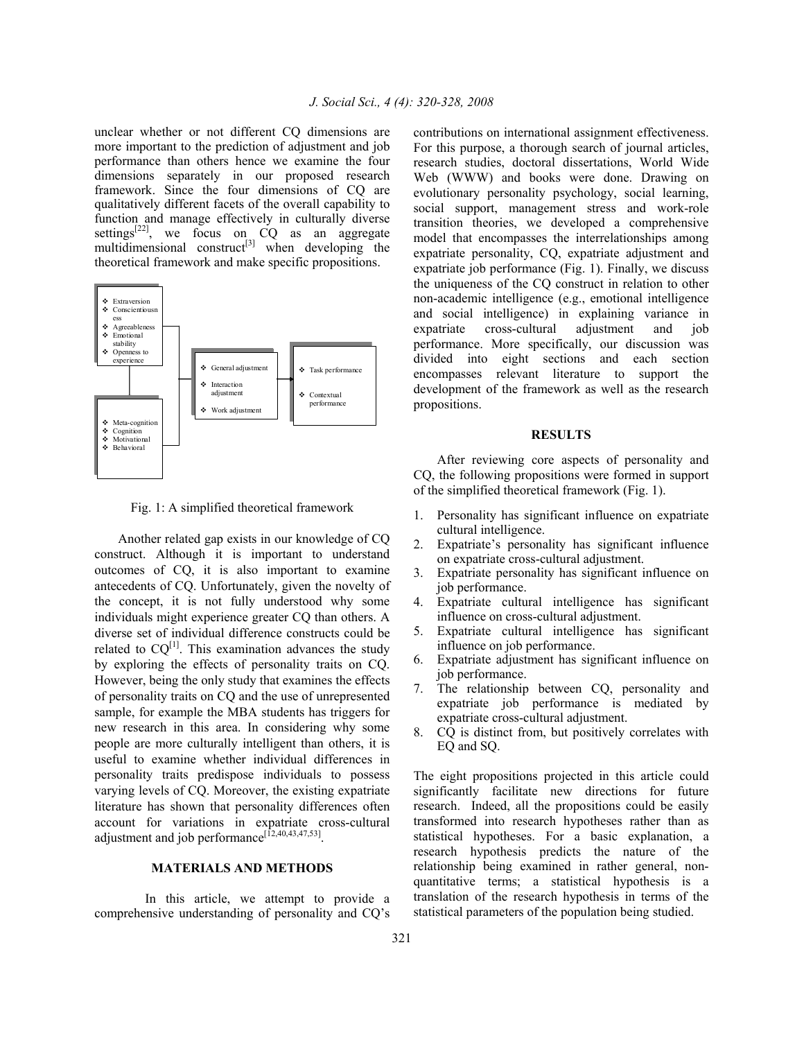unclear whether or not different CQ dimensions are more important to the prediction of adjustment and job performance than others hence we examine the four dimensions separately in our proposed research framework. Since the four dimensions of CQ are qualitatively different facets of the overall capability to function and manage effectively in culturally diverse settings $[22]$ , we focus on CQ as an aggregate multidimensional construct<sup>[3]</sup> when developing the theoretical framework and make specific propositions.



Fig. 1: A simplified theoretical framework

 Another related gap exists in our knowledge of CQ construct. Although it is important to understand outcomes of CQ, it is also important to examine antecedents of CQ. Unfortunately, given the novelty of the concept, it is not fully understood why some individuals might experience greater CQ than others. A diverse set of individual difference constructs could be related to  $CO<sup>[1]</sup>$ . This examination advances the study by exploring the effects of personality traits on CQ. However, being the only study that examines the effects of personality traits on CQ and the use of unrepresented sample, for example the MBA students has triggers for new research in this area. In considering why some people are more culturally intelligent than others, it is useful to examine whether individual differences in personality traits predispose individuals to possess varying levels of CQ. Moreover, the existing expatriate literature has shown that personality differences often account for variations in expatriate cross-cultural adjustment and job performance<sup>[12,40,43,47,53]</sup>.

#### **MATERIALS AND METHODS**

 In this article, we attempt to provide a comprehensive understanding of personality and CQ's contributions on international assignment effectiveness. For this purpose, a thorough search of journal articles, research studies, doctoral dissertations, World Wide Web (WWW) and books were done. Drawing on evolutionary personality psychology, social learning, social support, management stress and work-role transition theories, we developed a comprehensive model that encompasses the interrelationships among expatriate personality, CQ, expatriate adjustment and expatriate job performance (Fig. 1). Finally, we discuss the uniqueness of the CQ construct in relation to other non-academic intelligence (e.g., emotional intelligence and social intelligence) in explaining variance in expatriate cross-cultural adjustment and job performance. More specifically, our discussion was divided into eight sections and each section encompasses relevant literature to support the development of the framework as well as the research propositions.

### **RESULTS**

 After reviewing core aspects of personality and CQ, the following propositions were formed in support of the simplified theoretical framework (Fig. 1).

- 1. Personality has significant influence on expatriate cultural intelligence.
- 2. Expatriate's personality has significant influence on expatriate cross-cultural adjustment.
- 3. Expatriate personality has significant influence on job performance.
- 4. Expatriate cultural intelligence has significant influence on cross-cultural adjustment.
- 5. Expatriate cultural intelligence has significant influence on job performance.
- 6. Expatriate adjustment has significant influence on job performance.
- 7. The relationship between CQ, personality and expatriate job performance is mediated by expatriate cross-cultural adjustment.
- 8. CQ is distinct from, but positively correlates with EQ and SQ.

The eight propositions projected in this article could significantly facilitate new directions for future research. Indeed, all the propositions could be easily transformed into research hypotheses rather than as statistical hypotheses. For a basic explanation, a research hypothesis predicts the nature of the relationship being examined in rather general, nonquantitative terms; a statistical hypothesis is a translation of the research hypothesis in terms of the statistical parameters of the population being studied.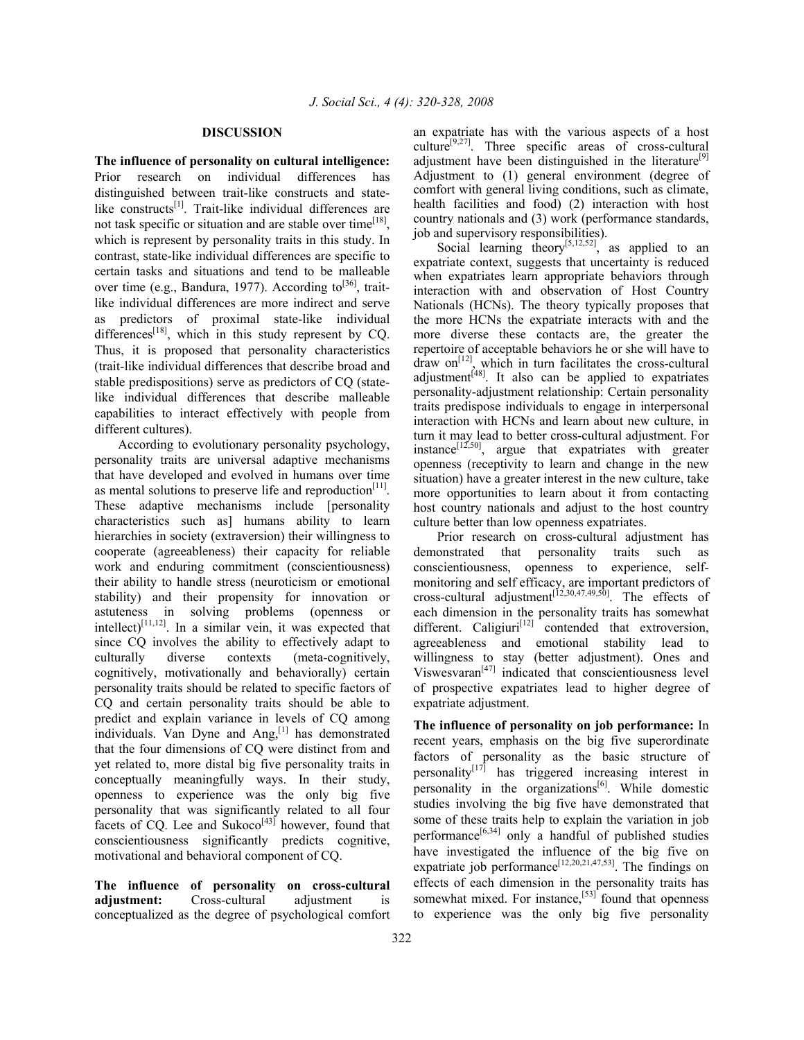#### **DISCUSSION**

**The influence of personality on cultural intelligence:**  Prior research on individual differences has distinguished between trait-like constructs and statelike constructs<sup>[1]</sup>. Trait-like individual differences are not task specific or situation and are stable over time<sup>[18]</sup>, which is represent by personality traits in this study. In contrast, state-like individual differences are specific to certain tasks and situations and tend to be malleable over time (e.g., Bandura, 1977). According to<sup>[36]</sup>, traitlike individual differences are more indirect and serve as predictors of proximal state-like individual differences<sup>[18]</sup>, which in this study represent by CQ. Thus, it is proposed that personality characteristics (trait-like individual differences that describe broad and stable predispositions) serve as predictors of CQ (statelike individual differences that describe malleable capabilities to interact effectively with people from different cultures).

 According to evolutionary personality psychology, personality traits are universal adaptive mechanisms that have developed and evolved in humans over time as mental solutions to preserve life and reproduction<sup>[11]</sup>. These adaptive mechanisms include [personality characteristics such as] humans ability to learn hierarchies in society (extraversion) their willingness to cooperate (agreeableness) their capacity for reliable work and enduring commitment (conscientiousness) their ability to handle stress (neuroticism or emotional stability) and their propensity for innovation or astuteness in solving problems (openness or intellect) $\left[11,12\right]$ . In a similar vein, it was expected that since CQ involves the ability to effectively adapt to culturally diverse contexts (meta-cognitively, cognitively, motivationally and behaviorally) certain personality traits should be related to specific factors of CQ and certain personality traits should be able to predict and explain variance in levels of CQ among individuals. Van Dyne and Ang,<sup>[1]</sup> has demonstrated that the four dimensions of CQ were distinct from and yet related to, more distal big five personality traits in conceptually meaningfully ways. In their study, openness to experience was the only big five personality that was significantly related to all four facets of CQ. Lee and  $\text{Sukoco}^{[43]}$  however, found that conscientiousness significantly predicts cognitive, motivational and behavioral component of CQ.

**The influence of personality on cross-cultural adjustment:** Cross-cultural adjustment is conceptualized as the degree of psychological comfort an expatriate has with the various aspects of a host culture<sup>[9,27]</sup>. Three specific areas of cross-cultural adjustment have been distinguished in the literature<sup>[9]</sup> Adjustment to (1) general environment (degree of comfort with general living conditions, such as climate, health facilities and food) (2) interaction with host country nationals and (3) work (performance standards, job and supervisory responsibilities).

Social learning theory<sup>[5,12,52]</sup>, as applied to an expatriate context, suggests that uncertainty is reduced when expatriates learn appropriate behaviors through interaction with and observation of Host Country Nationals (HCNs). The theory typically proposes that the more HCNs the expatriate interacts with and the more diverse these contacts are, the greater the repertoire of acceptable behaviors he or she will have to draw  $on^{[12]}$ , which in turn facilitates the cross-cultural adjustment<sup> $[48]$ </sup>. It also can be applied to expatriates personality-adjustment relationship: Certain personality traits predispose individuals to engage in interpersonal interaction with HCNs and learn about new culture, in turn it may lead to better cross-cultural adjustment. For instance $\begin{bmatrix} 1 & 2 & 0 \\ 0 & 0 & 0 \end{bmatrix}$  argue that expatriates with greater openness (receptivity to learn and change in the new situation) have a greater interest in the new culture, take more opportunities to learn about it from contacting host country nationals and adjust to the host country culture better than low openness expatriates.

 Prior research on cross-cultural adjustment has demonstrated that personality traits such as conscientiousness, openness to experience, selfmonitoring and self efficacy, are important predictors of cross-cultural adjustment<sup>[12,30,47,49,50]</sup>. The effects of each dimension in the personality traits has somewhat different. Caligiuri $[12]$  contended that extroversion, agreeableness and emotional stability lead to willingness to stay (better adjustment). Ones and Viswesvaran $[47]$  indicated that conscientiousness level of prospective expatriates lead to higher degree of expatriate adjustment.

**The influence of personality on job performance:** In recent years, emphasis on the big five superordinate factors of personality as the basic structure of personality $[17]$  has triggered increasing interest in personality in the organizations $[6]$ . While domestic studies involving the big five have demonstrated that some of these traits help to explain the variation in job performance $[6,34]$  only a handful of published studies have investigated the influence of the big five on expatriate job performance<sup>[12,20,21,47,53]</sup>. The findings on effects of each dimension in the personality traits has somewhat mixed. For instance,  $[53]$  found that openness to experience was the only big five personality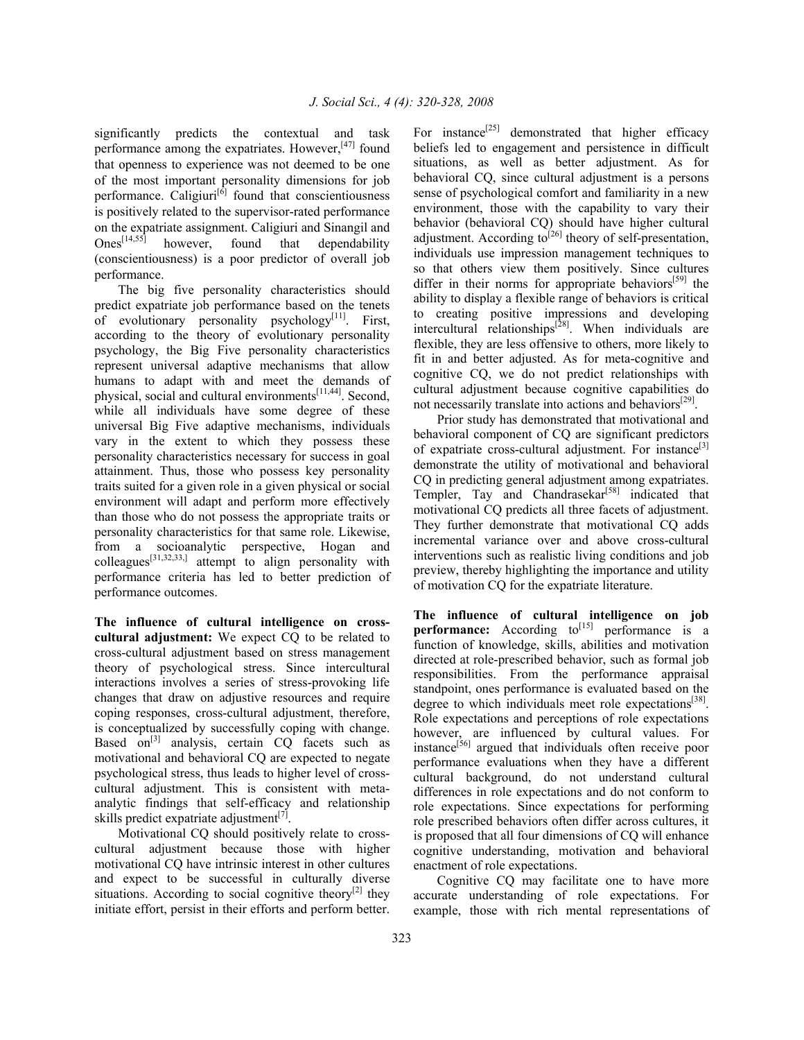significantly predicts the contextual and task performance among the expatriates. However,[47] found that openness to experience was not deemed to be one of the most important personality dimensions for job performance. Caligiuri $[6]$  found that conscientiousness is positively related to the supervisor-rated performance on the expatriate assignment. Caligiuri and Sinangil and  $Ones^{[14,55]}$  however, found that dependability (conscientiousness) is a poor predictor of overall job performance.

 The big five personality characteristics should predict expatriate job performance based on the tenets of evolutionary personality psychology $[11]$ . First, according to the theory of evolutionary personality psychology, the Big Five personality characteristics represent universal adaptive mechanisms that allow humans to adapt with and meet the demands of physical, social and cultural environments $[11,44]$ . Second, while all individuals have some degree of these universal Big Five adaptive mechanisms, individuals vary in the extent to which they possess these personality characteristics necessary for success in goal attainment. Thus, those who possess key personality traits suited for a given role in a given physical or social environment will adapt and perform more effectively than those who do not possess the appropriate traits or personality characteristics for that same role. Likewise, from a socioanalytic perspective, Hogan and colleagues $[31,32,33,]$  attempt to align personality with performance criteria has led to better prediction of performance outcomes.

**The influence of cultural intelligence on crosscultural adjustment:** We expect CQ to be related to cross-cultural adjustment based on stress management theory of psychological stress. Since intercultural interactions involves a series of stress-provoking life changes that draw on adjustive resources and require coping responses, cross-cultural adjustment, therefore, is conceptualized by successfully coping with change. Based on<sup>[3]</sup> analysis, certain  $CQ$  facets such as motivational and behavioral CQ are expected to negate psychological stress, thus leads to higher level of crosscultural adjustment. This is consistent with metaanalytic findings that self-efficacy and relationship skills predict expatriate adjustment<sup>[7]</sup>.

 Motivational CQ should positively relate to crosscultural adjustment because those with higher motivational CQ have intrinsic interest in other cultures and expect to be successful in culturally diverse situations. According to social cognitive theory<sup>[2]</sup> they initiate effort, persist in their efforts and perform better. For instance<sup>[25]</sup> demonstrated that higher efficacy beliefs led to engagement and persistence in difficult situations, as well as better adjustment. As for behavioral CQ, since cultural adjustment is a persons sense of psychological comfort and familiarity in a new environment, those with the capability to vary their behavior (behavioral CQ) should have higher cultural adjustment. According to<sup>[26]</sup> theory of self-presentation, individuals use impression management techniques to so that others view them positively. Since cultures differ in their norms for appropriate behaviors<sup>[59]</sup> the ability to display a flexible range of behaviors is critical to creating positive impressions and developing intercultural relationships $^{[28]}$ . When individuals are flexible, they are less offensive to others, more likely to fit in and better adjusted. As for meta-cognitive and cognitive CQ, we do not predict relationships with cultural adjustment because cognitive capabilities do not necessarily translate into actions and behaviors $[29]$ .

 Prior study has demonstrated that motivational and behavioral component of CQ are significant predictors of expatriate cross-cultural adjustment. For instance<sup>[3]</sup> demonstrate the utility of motivational and behavioral CQ in predicting general adjustment among expatriates. Templer, Tay and Chandrasekar<sup>[58]</sup> indicated that motivational CQ predicts all three facets of adjustment. They further demonstrate that motivational CQ adds incremental variance over and above cross-cultural interventions such as realistic living conditions and job preview, thereby highlighting the importance and utility of motivation CQ for the expatriate literature.

**The influence of cultural intelligence on job performance:** According to<sup>[15]</sup> performance is a function of knowledge, skills, abilities and motivation directed at role-prescribed behavior, such as formal job responsibilities. From the performance appraisal standpoint, ones performance is evaluated based on the degree to which individuals meet role expectations<sup>[38]</sup>. Role expectations and perceptions of role expectations however, are influenced by cultural values. For instance<sup>[56]</sup> argued that individuals often receive poor performance evaluations when they have a different cultural background, do not understand cultural differences in role expectations and do not conform to role expectations. Since expectations for performing role prescribed behaviors often differ across cultures, it is proposed that all four dimensions of CQ will enhance cognitive understanding, motivation and behavioral enactment of role expectations.

 Cognitive CQ may facilitate one to have more accurate understanding of role expectations. For example, those with rich mental representations of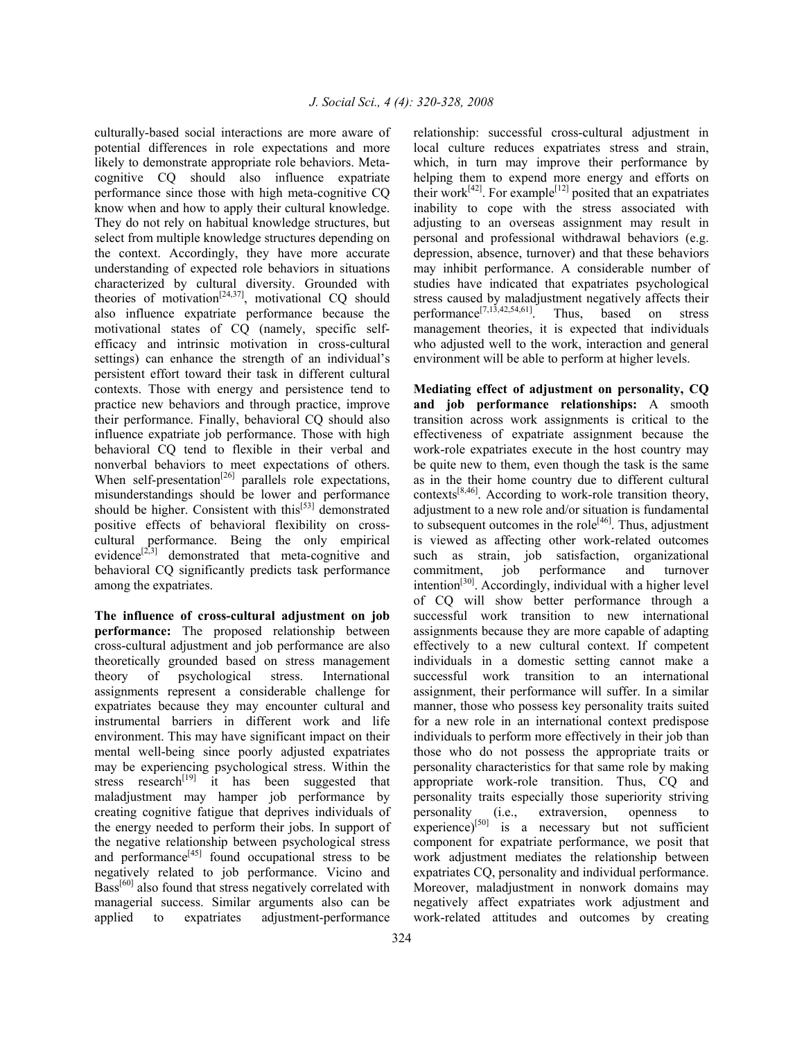culturally-based social interactions are more aware of potential differences in role expectations and more likely to demonstrate appropriate role behaviors. Metacognitive CQ should also influence expatriate performance since those with high meta-cognitive CQ know when and how to apply their cultural knowledge. They do not rely on habitual knowledge structures, but select from multiple knowledge structures depending on the context. Accordingly, they have more accurate understanding of expected role behaviors in situations characterized by cultural diversity. Grounded with theories of motivation<sup>[24,37]</sup>, motivational CQ should also influence expatriate performance because the motivational states of CQ (namely, specific selfefficacy and intrinsic motivation in cross-cultural settings) can enhance the strength of an individual's persistent effort toward their task in different cultural contexts. Those with energy and persistence tend to practice new behaviors and through practice, improve their performance. Finally, behavioral CQ should also influence expatriate job performance. Those with high behavioral CQ tend to flexible in their verbal and nonverbal behaviors to meet expectations of others. When self-presentation<sup>[26]</sup> parallels role expectations, misunderstandings should be lower and performance should be higher. Consistent with this $[53]$  demonstrated positive effects of behavioral flexibility on crosscultural performance. Being the only empirical evidence $[2,3]$  demonstrated that meta-cognitive and behavioral CQ significantly predicts task performance among the expatriates.

**The influence of cross-cultural adjustment on job performance:** The proposed relationship between cross-cultural adjustment and job performance are also theoretically grounded based on stress management theory of psychological stress. International assignments represent a considerable challenge for expatriates because they may encounter cultural and instrumental barriers in different work and life environment. This may have significant impact on their mental well-being since poorly adjusted expatriates may be experiencing psychological stress. Within the stress research<sup>[19]</sup> it has been suggested that maladjustment may hamper job performance by creating cognitive fatigue that deprives individuals of the energy needed to perform their jobs. In support of the negative relationship between psychological stress and performance $[45]$  found occupational stress to be negatively related to job performance. Vicino and Bass<sup>[60]</sup> also found that stress negatively correlated with managerial success. Similar arguments also can be applied to expatriates adjustment-performance

relationship: successful cross-cultural adjustment in local culture reduces expatriates stress and strain, which, in turn may improve their performance by helping them to expend more energy and efforts on their work<sup>[42]</sup>. For example<sup>[12]</sup> posited that an expatriates inability to cope with the stress associated with adjusting to an overseas assignment may result in personal and professional withdrawal behaviors (e.g. depression, absence, turnover) and that these behaviors may inhibit performance. A considerable number of studies have indicated that expatriates psychological stress caused by maladjustment negatively affects their performance<sup>[7,13,42,54,61]</sup>. Thus, based on stress management theories, it is expected that individuals who adjusted well to the work, interaction and general environment will be able to perform at higher levels.

**Mediating effect of adjustment on personality, CQ and job performance relationships:** A smooth transition across work assignments is critical to the effectiveness of expatriate assignment because the work-role expatriates execute in the host country may be quite new to them, even though the task is the same as in the their home country due to different cultural contexts[8,46]. According to work-role transition theory, adjustment to a new role and/or situation is fundamental to subsequent outcomes in the role<sup>[46]</sup>. Thus, adjustment is viewed as affecting other work-related outcomes such as strain, job satisfaction, organizational commitment, job performance and turnover intention<sup>[30]</sup>. Accordingly, individual with a higher level of CQ will show better performance through a successful work transition to new international assignments because they are more capable of adapting effectively to a new cultural context. If competent individuals in a domestic setting cannot make a successful work transition to an international assignment, their performance will suffer. In a similar manner, those who possess key personality traits suited for a new role in an international context predispose individuals to perform more effectively in their job than those who do not possess the appropriate traits or personality characteristics for that same role by making appropriate work-role transition. Thus, CQ and personality traits especially those superiority striving personality (i.e., extraversion, openness to  $(\text{experience})^{[50]}$  is a necessary but not sufficient component for expatriate performance, we posit that work adjustment mediates the relationship between expatriates CQ, personality and individual performance. Moreover, maladjustment in nonwork domains may negatively affect expatriates work adjustment and work-related attitudes and outcomes by creating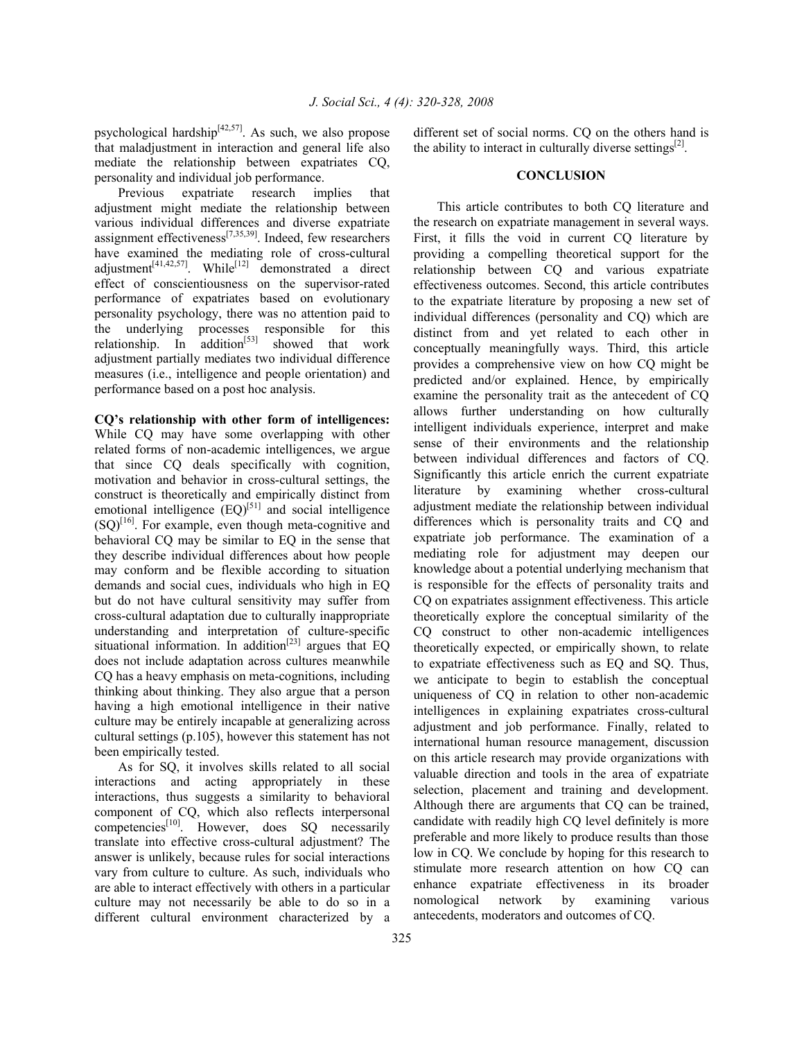psychological hardship<sup>[42,57]</sup>. As such, we also propose that maladjustment in interaction and general life also mediate the relationship between expatriates CQ, personality and individual job performance.

 Previous expatriate research implies that adjustment might mediate the relationship between various individual differences and diverse expatriate assignment effectiveness[7,35,39]. Indeed, few researchers have examined the mediating role of cross-cultural adjustment<sup>[41,42,57]</sup>. While<sup>[12]</sup> demonstrated a direct effect of conscientiousness on the supervisor-rated performance of expatriates based on evolutionary personality psychology, there was no attention paid to the underlying processes responsible for this relationship. In addition<sup>[53]</sup> showed that work adjustment partially mediates two individual difference measures (i.e., intelligence and people orientation) and performance based on a post hoc analysis.

**CQ's relationship with other form of intelligences:**  While CQ may have some overlapping with other related forms of non-academic intelligences, we argue that since CQ deals specifically with cognition, motivation and behavior in cross-cultural settings, the construct is theoretically and empirically distinct from emotional intelligence  $(EQ)^{[51]}$  and social intelligence  $(SQ)^{[16]}$ . For example, even though meta-cognitive and behavioral CQ may be similar to EQ in the sense that they describe individual differences about how people may conform and be flexible according to situation demands and social cues, individuals who high in EQ but do not have cultural sensitivity may suffer from cross-cultural adaptation due to culturally inappropriate understanding and interpretation of culture-specific situational information. In addition<sup>[23]</sup> argues that EQ does not include adaptation across cultures meanwhile CQ has a heavy emphasis on meta-cognitions, including thinking about thinking. They also argue that a person having a high emotional intelligence in their native culture may be entirely incapable at generalizing across cultural settings (p.105), however this statement has not been empirically tested.

 As for SQ, it involves skills related to all social interactions and acting appropriately in these interactions, thus suggests a similarity to behavioral component of CQ, which also reflects interpersonal competencies<sup>[10]</sup>. However, does SQ necessarily translate into effective cross-cultural adjustment? The answer is unlikely, because rules for social interactions vary from culture to culture. As such, individuals who are able to interact effectively with others in a particular culture may not necessarily be able to do so in a different cultural environment characterized by a

different set of social norms. CQ on the others hand is the ability to interact in culturally diverse settings $[2]$ .

### **CONCLUSION**

 This article contributes to both CQ literature and the research on expatriate management in several ways. First, it fills the void in current CQ literature by providing a compelling theoretical support for the relationship between CQ and various expatriate effectiveness outcomes. Second, this article contributes to the expatriate literature by proposing a new set of individual differences (personality and CQ) which are distinct from and yet related to each other in conceptually meaningfully ways. Third, this article provides a comprehensive view on how CQ might be predicted and/or explained. Hence, by empirically examine the personality trait as the antecedent of CQ allows further understanding on how culturally intelligent individuals experience, interpret and make sense of their environments and the relationship between individual differences and factors of CQ. Significantly this article enrich the current expatriate literature by examining whether cross-cultural adjustment mediate the relationship between individual differences which is personality traits and CQ and expatriate job performance. The examination of a mediating role for adjustment may deepen our knowledge about a potential underlying mechanism that is responsible for the effects of personality traits and CQ on expatriates assignment effectiveness. This article theoretically explore the conceptual similarity of the CQ construct to other non-academic intelligences theoretically expected, or empirically shown, to relate to expatriate effectiveness such as EQ and SQ. Thus, we anticipate to begin to establish the conceptual uniqueness of CQ in relation to other non-academic intelligences in explaining expatriates cross-cultural adjustment and job performance. Finally, related to international human resource management, discussion on this article research may provide organizations with valuable direction and tools in the area of expatriate selection, placement and training and development. Although there are arguments that CQ can be trained, candidate with readily high CQ level definitely is more preferable and more likely to produce results than those low in CQ. We conclude by hoping for this research to stimulate more research attention on how CQ can enhance expatriate effectiveness in its broader nomological network by examining various antecedents, moderators and outcomes of CQ.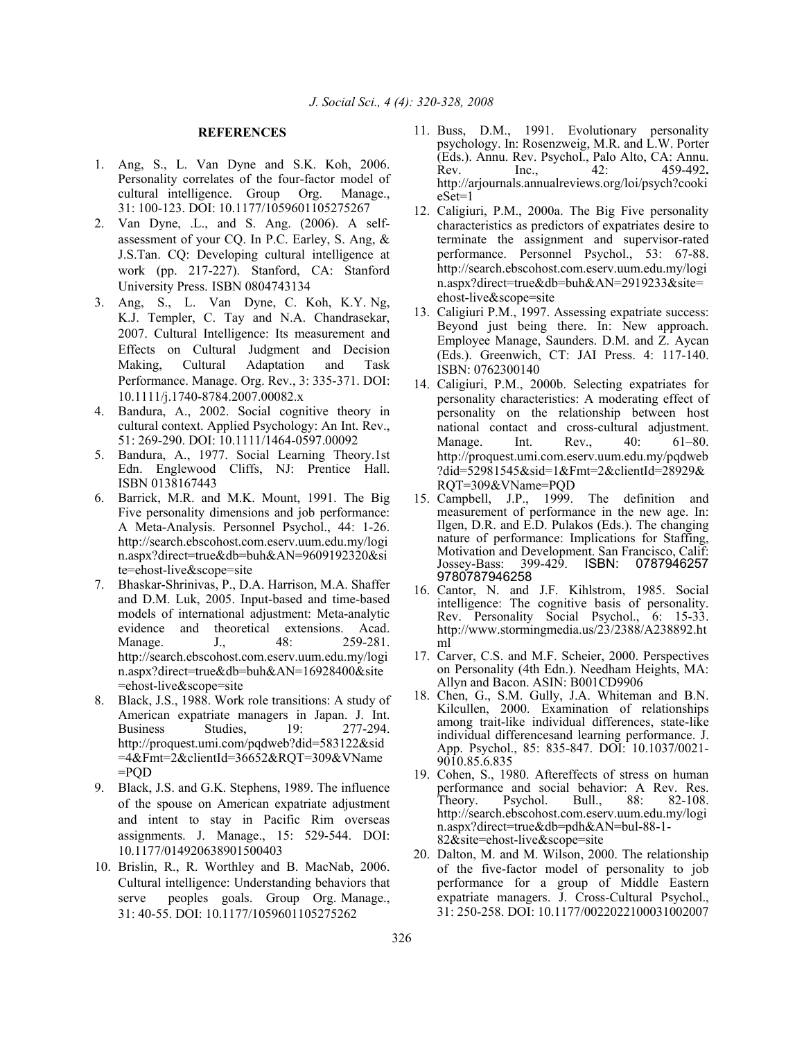#### **REFERENCES**

- 1. Ang, S., L. Van Dyne and S.K. Koh, 2006. Personality correlates of the four-factor model of cultural intelligence. Group Org. Manage., 31: 100-123. DOI: 10.1177/1059601105275267
- 2. Van Dyne, .L., and S. Ang. (2006). A selfassessment of your CQ. In P.C. Earley, S. Ang, & J.S.Tan. CQ: Developing cultural intelligence at work (pp. 217-227). Stanford, CA: Stanford University Press. ISBN 0804743134
- 3. Ang, S., L. Van Dyne, C. Koh, K.Y. Ng, K.J. Templer, C. Tay and N.A. Chandrasekar, 2007. Cultural Intelligence: Its measurement and Effects on Cultural Judgment and Decision Making, Cultural Adaptation and Task Performance. Manage. Org. Rev., 3: 335-371. DOI: 10.1111/j.1740-8784.2007.00082.x
- 4. Bandura, A., 2002. Social cognitive theory in cultural context. Applied Psychology: An Int. Rev., 51: 269-290. DOI: 10.1111/1464-0597.00092
- 5. Bandura, A., 1977. Social Learning Theory.1st Edn. Englewood Cliffs, NJ: Prentice Hall. ISBN 0138167443
- 6. Barrick, M.R. and M.K. Mount, 1991. The Big Five personality dimensions and job performance: A Meta-Analysis. Personnel Psychol., 44: 1-26. http://search.ebscohost.com.eserv.uum.edu.my/logi n.aspx?direct=true&db=buh&AN=9609192320&si te=ehost-live&scope=site
- 7. Bhaskar-Shrinivas, P., D.A. Harrison, M.A. Shaffer and D.M. Luk, 2005. Input-based and time-based models of international adjustment: Meta-analytic evidence and theoretical extensions. Acad. Manage. J., 48: 259-281. http://search.ebscohost.com.eserv.uum.edu.my/logi n.aspx?direct=true&db=buh&AN=16928400&site =ehost-live&scope=site
- 8. Black, J.S., 1988. Work role transitions: A study of American expatriate managers in Japan. J. Int. Business Studies, 19: 277-294. http://proquest.umi.com/pqdweb?did=583122&sid =4&Fmt=2&clientId=36652&RQT=309&VName =PQD
- 9. Black, J.S. and G.K. Stephens, 1989. The influence of the spouse on American expatriate adjustment and intent to stay in Pacific Rim overseas assignments. J. Manage., 15: 529-544. DOI: 10.1177/014920638901500403
- 10. Brislin, R., R. Worthley and B. MacNab, 2006. Cultural intelligence: Understanding behaviors that serve peoples goals. Group Org. Manage., 31: 40-55. DOI: 10.1177/1059601105275262
- 11. Buss, D.M., 1991. Evolutionary personality psychology. In: Rosenzweig, M.R. and L.W. Porter (Eds.). Annu. Rev. Psychol., Palo Alto, CA: Annu. Rev. Inc., 42: 459-492. http://arjournals.annualreviews.org/loi/psych?cooki eSet=1
- 12. Caligiuri, P.M., 2000a. The Big Five personality characteristics as predictors of expatriates desire to terminate the assignment and supervisor-rated performance. Personnel Psychol., 53: 67-88. http://search.ebscohost.com.eserv.uum.edu.my/logi n.aspx?direct=true&db=buh&AN=2919233&site= ehost-live&scope=site
- 13. Caligiuri P.M., 1997. Assessing expatriate success: Beyond just being there. In: New approach. Employee Manage, Saunders. D.M. and Z. Aycan (Eds.). Greenwich, CT: JAI Press. 4: 117-140. ISBN: 0762300140
- 14. Caligiuri, P.M., 2000b. Selecting expatriates for personality characteristics: A moderating effect of personality on the relationship between host national contact and cross-cultural adjustment. Manage. Int. Rev., 40: 61–80. http://proquest.umi.com.eserv.uum.edu.my/pqdweb ?did=52981545&sid=1&Fmt=2&clientId=28929& RQT=309&VName=PQD
- 15. Campbell, J.P., 1999. The definition and measurement of performance in the new age. In: Ilgen, D.R. and E.D. Pulakos (Eds.). The changing nature of performance: Implications for Staffing, Motivation and Development. San Francisco, Calif: Jossey-Bass: 399-429. ISBN: 0787946257 9780787946258
- 16. Cantor, N. and J.F. Kihlstrom, 1985. Social intelligence: The cognitive basis of personality. Rev. Personality Social Psychol., 6: 15-33. http://www.stormingmedia.us/23/2388/A238892.ht ml
- 17. Carver, C.S. and M.F. Scheier, 2000. Perspectives on Personality (4th Edn.). Needham Heights, MA: Allyn and Bacon. ASIN: B001CD9906
- 18. Chen, G., S.M. Gully, J.A. Whiteman and B.N. Kilcullen, 2000. Examination of relationships among trait-like individual differences, state-like individual differencesand learning performance. J. App. Psychol., 85: 835-847. DOI: 10.1037/0021- 9010.85.6.835
- 19. Cohen, S., 1980. Aftereffects of stress on human performance and social behavior: A Rev. Res.<br>Theory. Psychol. Bull., 88: 82-108. Theory. Psychol. http://search.ebscohost.com.eserv.uum.edu.my/logi n.aspx?direct=true&db=pdh&AN=bul-88-1- 82&site=ehost-live&scope=site
- 20. Dalton, M. and M. Wilson, 2000. The relationship of the five-factor model of personality to job performance for a group of Middle Eastern expatriate managers. J. Cross-Cultural Psychol., 31: 250-258. DOI: 10.1177/0022022100031002007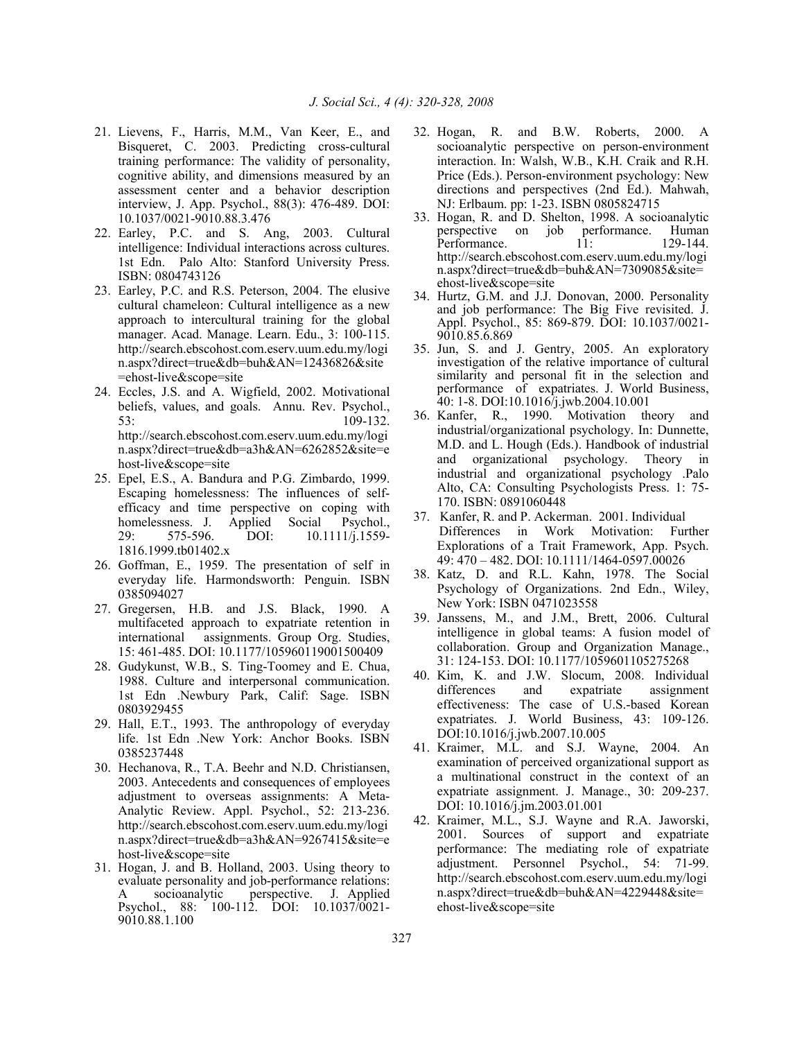- 21. Lievens, F., Harris, M.M., Van Keer, E., and Bisqueret, C. 2003. Predicting cross-cultural training performance: The validity of personality, cognitive ability, and dimensions measured by an assessment center and a behavior description interview, J. App. Psychol., 88(3): 476-489. DOI: 10.1037/0021-9010.88.3.476
- 22. Earley, P.C. and S. Ang, 2003. Cultural intelligence: Individual interactions across cultures. 1st Edn. Palo Alto: Stanford University Press. ISBN: 0804743126
- 23. Earley, P.C. and R.S. Peterson, 2004. The elusive cultural chameleon: Cultural intelligence as a new approach to intercultural training for the global manager. Acad. Manage. Learn. Edu., 3: 100-115. http://search.ebscohost.com.eserv.uum.edu.my/logi n.aspx?direct=true&db=buh&AN=12436826&site =ehost-live&scope=site
- 24. Eccles, J.S. and A. Wigfield, 2002. Motivational beliefs, values, and goals. Annu. Rev. Psychol., 53: 109-132. http://search.ebscohost.com.eserv.uum.edu.my/logi n.aspx?direct=true&db=a3h&AN=6262852&site=e host-live&scope=site
- 25. Epel, E.S., A. Bandura and P.G. Zimbardo, 1999. Escaping homelessness: The influences of selfefficacy and time perspective on coping with homelessness. J. Applied Social Psychol., 29: 575-596. DOI: 10.1111/j.1559- 1816.1999.tb01402.x
- 26. Goffman, E., 1959. The presentation of self in everyday life. Harmondsworth: Penguin. ISBN 0385094027
- 27. Gregersen, H.B. and J.S. Black, 1990. A multifaceted approach to expatriate retention in international assignments. Group Org. Studies, 15: 461-485. DOI: 10.1177/105960119001500409
- 28. Gudykunst, W.B., S. Ting-Toomey and E. Chua, 1988. Culture and interpersonal communication. 1st Edn .Newbury Park, Calif: Sage. ISBN 0803929455
- 29. Hall, E.T., 1993. The anthropology of everyday life. 1st Edn .New York: Anchor Books. ISBN 0385237448
- 30. Hechanova, R., T.A. Beehr and N.D. Christiansen, 2003. Antecedents and consequences of employees adjustment to overseas assignments: A Meta-Analytic Review. Appl. Psychol., 52: 213-236. http://search.ebscohost.com.eserv.uum.edu.my/logi n.aspx?direct=true&db=a3h&AN=9267415&site=e host-live&scope=site
- 31. Hogan, J. and B. Holland, 2003. Using theory to evaluate personality and job-performance relations: A socioanalytic perspective. J. Applied Psychol., 88: 100-112. DOI: 10.1037/0021- 9010.88.1.100
- 32. Hogan, R. and B.W. Roberts, 2000. A socioanalytic perspective on person-environment interaction. In: Walsh, W.B., K.H. Craik and R.H. Price (Eds.). Person-environment psychology: New directions and perspectives (2nd Ed.). Mahwah, NJ: Erlbaum. pp: 1-23. ISBN 0805824715
- 33. Hogan, R. and D. Shelton, 1998. A socioanalytic perspective on job performance. Human Performance. 11: 129-144. Performance. 11: 129-144. http://search.ebscohost.com.eserv.uum.edu.my/logi n.aspx?direct=true&db=buh&AN=7309085&site= ehost-live&scope=site
- 34. Hurtz, G.M. and J.J. Donovan, 2000. Personality and job performance: The Big Five revisited. J. Appl. Psychol., 85: 869-879. DOI: 10.1037/0021- 9010.85.6.869
- 35. Jun, S. and J. Gentry, 2005. An exploratory investigation of the relative importance of cultural similarity and personal fit in the selection and performance of expatriates. J. World Business, 40: 1-8. DOI:10.1016/j.jwb.2004.10.001
- 36. Kanfer, R., 1990. Motivation theory and industrial/organizational psychology. In: Dunnette, M.D. and L. Hough (Eds.). Handbook of industrial and organizational psychology. Theory in industrial and organizational psychology .Palo Alto, CA: Consulting Psychologists Press. 1: 75- 170. ISBN: 0891060448
- 37. Kanfer, R. and P. Ackerman. 2001. Individual Differences in Work Motivation: Further Explorations of a Trait Framework, App. Psych. 49: 470 – 482. DOI: 10.1111/1464-0597.00026
- 38. Katz, D. and R.L. Kahn, 1978. The Social Psychology of Organizations. 2nd Edn., Wiley, New York: ISBN 0471023558
- 39. Janssens, M., and J.M., Brett, 2006. Cultural intelligence in global teams: A fusion model of collaboration. Group and Organization Manage., 31: 124-153. DOI: 10.1177/1059601105275268
- 40. Kim, K. and J.W. Slocum, 2008. Individual differences and expatriate assignment effectiveness: The case of U.S.-based Korean expatriates. J. World Business, 43: 109-126. DOI:10.1016/j.jwb.2007.10.005
- 41. Kraimer, M.L. and S.J. Wayne, 2004. An examination of perceived organizational support as a multinational construct in the context of an expatriate assignment. J. Manage., 30: 209-237. DOI: 10.1016/j.jm.2003.01.001
- 42. Kraimer, M.L., S.J. Wayne and R.A. Jaworski, 2001. Sources of support and expatriate performance: The mediating role of expatriate adjustment. Personnel Psychol., 54: 71-99. http://search.ebscohost.com.eserv.uum.edu.my/logi n.aspx?direct=true&db=buh&AN=4229448&site= ehost-live&scope=site